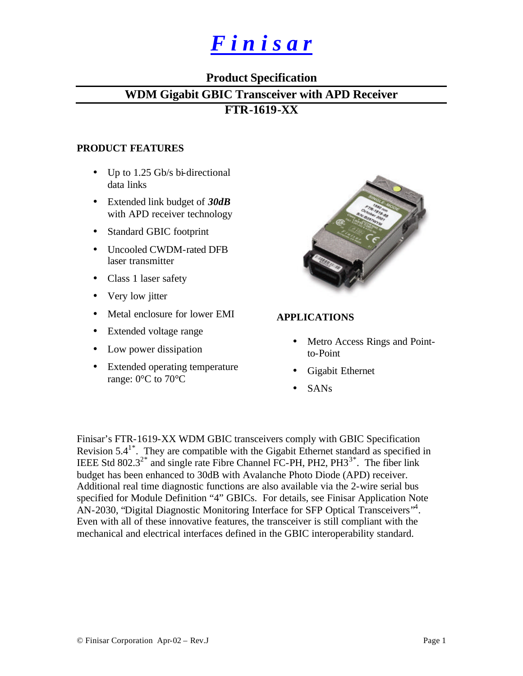# *F i n i s a r*

## **Product Specification**

## **WDM Gigabit GBIC Transceiver with APD Receiver**

## **FTR-1619-XX**

## **PRODUCT FEATURES**

- Up to 1.25 Gb/s bi-directional data links
- Extended link budget of *30dB* with APD receiver technology
- Standard GBIC footprint
- Uncooled CWDM-rated DFB laser transmitter
- Class 1 laser safety
- Very low jitter
- Metal enclosure for lower EMI
- Extended voltage range
- Low power dissipation
- Extended operating temperature range: 0°C to 70°C



## **APPLICATIONS**

- Metro Access Rings and Pointto-Point
- Gigabit Ethernet
- SANs

Finisar's FTR-1619-XX WDM GBIC transceivers comply with GBIC Specification Revision  $5.4^{1*}$ . They are compatible with the Gigabit Ethernet standard as specified in IEEE Std 802.3<sup>2\*</sup> and single rate Fibre Channel FC-PH, PH2,  $PH3^{3*}$ . The fiber link budget has been enhanced to 30dB with Avalanche Photo Diode (APD) receiver. Additional real time diagnostic functions are also available via the 2-wire serial bus specified for Module Definition "4" GBICs. For details, see Finisar Application Note AN-2030, "Digital Diagnostic Monitoring Interface for SFP Optical Transceivers"<sup>4</sup>. Even with all of these innovative features, the transceiver is still compliant with the mechanical and electrical interfaces defined in the GBIC interoperability standard.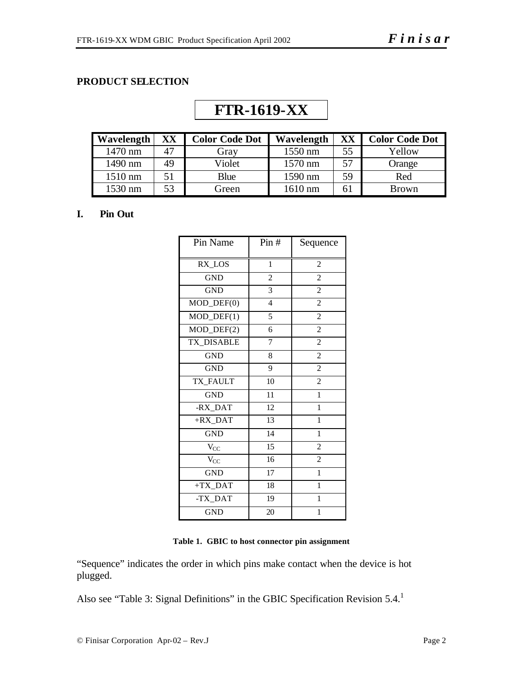## **PRODUCT SELECTION**

| <b>Wavelength</b> | XX | <b>Color Code Dot</b> | Wavelength | XX | <b>Color Code Dot</b> |
|-------------------|----|-----------------------|------------|----|-----------------------|
| 1470 nm           |    | Grav                  | 1550 nm    | 55 | Yellow                |
| 1490 nm           | 49 | Violet                | 1570 nm    | 57 | Orange                |
| 1510 nm           | 51 | Blue                  | 1590 nm    | 59 | Red                   |
| 1530 nm           | 53 | Green                 | 1610 nm    | 61 | <b>Brown</b>          |

## **FTR-1619-XX**

#### **I. Pin Out**

| Pin Name                    | Pin#           | Sequence       |
|-----------------------------|----------------|----------------|
| RX_LOS                      | $\mathbf{1}$   | $\overline{c}$ |
| <b>GND</b>                  | $\overline{c}$ | $\overline{c}$ |
| <b>GND</b>                  | 3              | $\overline{c}$ |
| $MOD_$ <del>DEF</del> $(0)$ | $\overline{4}$ | $\overline{c}$ |
| $MOD_$ <del>DEF</del> $(1)$ | 5              | $\overline{c}$ |
| $MOD_DEF(2)$                | 6              | $\overline{c}$ |
| TX_DISABLE                  | 7              | $\overline{c}$ |
| <b>GND</b>                  | 8              | $\overline{c}$ |
| <b>GND</b>                  | 9              | $\overline{c}$ |
| TX_FAULT                    | 10             | $\overline{c}$ |
| <b>GND</b>                  | 11             | $\mathbf{1}$   |
| -RX_DAT                     | 12             | $\mathbf{1}$   |
| $+RX$ _DAT                  | 13             | $\mathbf{1}$   |
| <b>GND</b>                  | 14             | $\mathbf{1}$   |
| $V_{CC}$                    | 15             | $\overline{c}$ |
| $\rm V_{CC}$                | 16             | $\overline{c}$ |
| <b>GND</b>                  | 17             | $\mathbf{1}$   |
| $+TX$ _DAT                  | 18             | 1              |
| -TX_DAT                     | 19             | $\mathbf{1}$   |
| <b>GND</b>                  | 20             | 1              |

**Table 1. GBIC to host connector pin assignment**

"Sequence" indicates the order in which pins make contact when the device is hot plugged.

Also see "Table 3: Signal Definitions" in the GBIC Specification Revision 5.4.<sup>1</sup>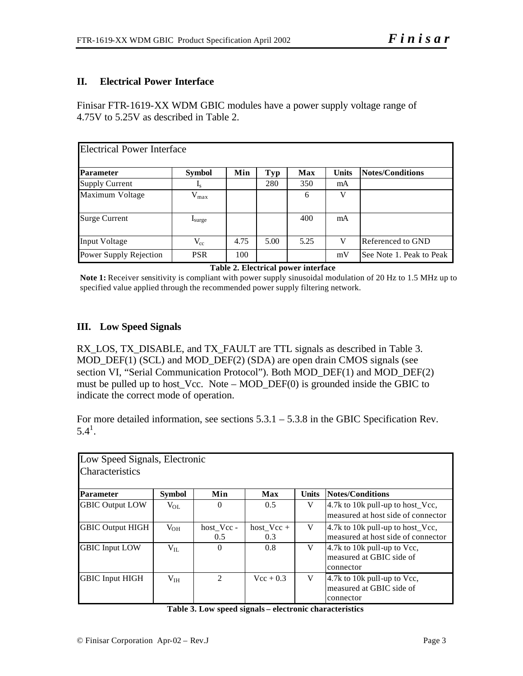## **II. Electrical Power Interface**

Finisar FTR-1619-XX WDM GBIC modules have a power supply voltage range of 4.75V to 5.25V as described in Table 2.

| <b>Electrical Power Interface</b> |                      |      |      |            |              |                          |
|-----------------------------------|----------------------|------|------|------------|--------------|--------------------------|
| <b>Parameter</b>                  | <b>Symbol</b>        | Min  | Typ  | <b>Max</b> | <b>Units</b> | <b>Notes/Conditions</b>  |
| <b>Supply Current</b>             | $\mathbf{I}_S$       |      | 280  | 350        | mA           |                          |
| Maximum Voltage                   | $V_{max}$            |      |      | 6          | V            |                          |
| <b>Surge Current</b>              | $I_{\text{surface}}$ |      |      | 400        | mA           |                          |
| <b>Input Voltage</b>              | $V_{cc}$             | 4.75 | 5.00 | 5.25       | $\mathbf{V}$ | Referenced to GND        |
| Power Supply Rejection            | <b>PSR</b>           | 100  |      |            | mV           | See Note 1. Peak to Peak |

#### **Table 2. Electrical power interface**

**Note 1:** Receiver sensitivity is compliant with power supply sinusoidal modulation of 20 Hz to 1.5 MHz up to specified value applied through the recommended power supply filtering network.

## **III. Low Speed Signals**

RX\_LOS, TX\_DISABLE, and TX\_FAULT are TTL signals as described in Table 3. MOD\_DEF(1) (SCL) and MOD\_DEF(2) (SDA) are open drain CMOS signals (see section VI, "Serial Communication Protocol"). Both MOD\_DEF(1) and MOD\_DEF(2) must be pulled up to host\_Vcc. Note – MOD\_DEF(0) is grounded inside the GBIC to indicate the correct mode of operation.

For more detailed information, see sections 5.3.1 – 5.3.8 in the GBIC Specification Rev.  $5.4^1$ .

|                         | Low Speed Signals, Electronic |                |              |              |                                    |  |  |  |  |  |  |
|-------------------------|-------------------------------|----------------|--------------|--------------|------------------------------------|--|--|--|--|--|--|
| <b>Characteristics</b>  |                               |                |              |              |                                    |  |  |  |  |  |  |
|                         |                               |                |              |              |                                    |  |  |  |  |  |  |
|                         |                               |                |              |              |                                    |  |  |  |  |  |  |
| <b>Parameter</b>        | <b>Symbol</b>                 | Min            | Max          | <b>Units</b> | <b>Notes/Conditions</b>            |  |  |  |  |  |  |
| <b>GBIC Output LOW</b>  | $V_{OL}$                      | $\theta$       | 0.5          | V            | 4.7k to 10k pull-up to host_Vcc,   |  |  |  |  |  |  |
|                         |                               |                |              |              | measured at host side of connector |  |  |  |  |  |  |
|                         |                               |                |              |              |                                    |  |  |  |  |  |  |
| <b>GBIC Output HIGH</b> | $V_{OH}$                      | host Vcc -     | host $Vec +$ | V            | 4.7k to 10k pull-up to host_Vcc,   |  |  |  |  |  |  |
|                         |                               | 0.5            | 0.3          |              | measured at host side of connector |  |  |  |  |  |  |
| <b>GBIC</b> Input LOW   | $V_{II}$                      | $\Omega$       | 0.8          | V            | 4.7k to 10k pull-up to Vcc,        |  |  |  |  |  |  |
|                         |                               |                |              |              | measured at GBIC side of           |  |  |  |  |  |  |
|                         |                               |                |              |              | connector                          |  |  |  |  |  |  |
|                         |                               | $\mathfrak{D}$ |              |              |                                    |  |  |  |  |  |  |
| <b>GBIC</b> Input HIGH  | V <sub>IH</sub>               |                | $Vec + 0.3$  | V            | 4.7k to 10k pull-up to Vcc,        |  |  |  |  |  |  |
|                         |                               |                |              |              | measured at GBIC side of           |  |  |  |  |  |  |
|                         |                               |                |              |              | connector                          |  |  |  |  |  |  |

|  |  | Table 3. Low speed signals - electronic characteristics |
|--|--|---------------------------------------------------------|
|--|--|---------------------------------------------------------|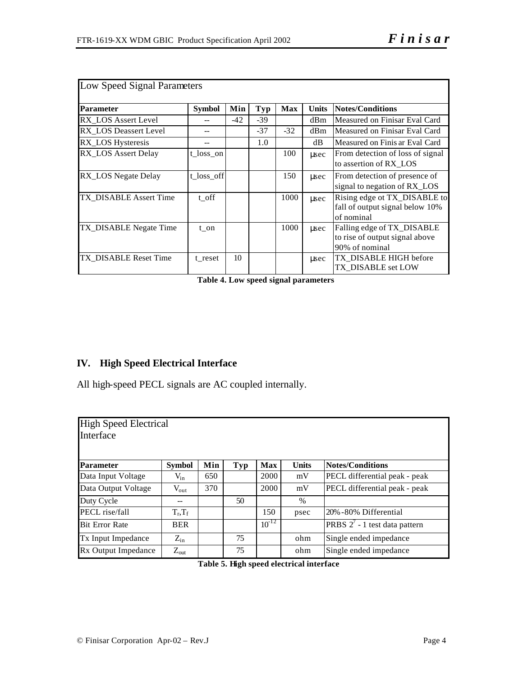| Low Speed Signal Parameters |               |       |       |            |              |                                                                                |
|-----------------------------|---------------|-------|-------|------------|--------------|--------------------------------------------------------------------------------|
| <b>Parameter</b>            | <b>Symbol</b> | Min   | Typ   | <b>Max</b> | <b>Units</b> | <b>Notes/Conditions</b>                                                        |
| RX LOS Assert Level         |               | $-42$ | $-39$ |            | dBm          | Measured on Finisar Eval Card                                                  |
| RX LOS Deassert Level       |               |       | $-37$ | $-32$      | dBm          | Measured on Finisar Eval Card                                                  |
| RX_LOS Hysteresis           |               |       | 1.0   |            | dB           | Measured on Finis ar Eval Card                                                 |
| RX_LOS Assert Delay         | t loss on     |       |       | 100        | usec         | From detection of loss of signal<br>to assertion of RX LOS                     |
| RX_LOS Negate Delay         | t_loss_off    |       |       | 150        | usec         | From detection of presence of<br>signal to negation of RX_LOS                  |
| TX DISABLE Assert Time      | t off         |       |       | 1000       | usec         | Rising edge ot TX_DISABLE to<br>fall of output signal below 10%<br>of nominal  |
| TX_DISABLE Negate Time      | t on          |       |       | 1000       | usec         | Falling edge of TX_DISABLE<br>to rise of output signal above<br>90% of nominal |
| TX DISABLE Reset Time       | t reset       | 10    |       |            | usec         | TX DISABLE HIGH before<br>TX DISABLE set LOW                                   |

**Table 4. Low speed signal parameters**

## **IV. High Speed Electrical Interface**

All high-speed PECL signals are AC coupled internally.

| <b>High Speed Electrical</b><br>Interface |                  |     |     |            |              |                                  |
|-------------------------------------------|------------------|-----|-----|------------|--------------|----------------------------------|
| <b>Parameter</b>                          | <b>Symbol</b>    | Min | Typ | <b>Max</b> | <b>Units</b> | <b>Notes/Conditions</b>          |
| Data Input Voltage                        | $V_{in}$         | 650 |     | 2000       | mV           | PECL differential peak - peak    |
| Data Output Voltage                       | $V_{\text{out}}$ | 370 |     | 2000       | mV           | PECL differential peak - peak    |
| Duty Cycle                                |                  |     | 50  |            | $\%$         |                                  |
| PECL rise/fall                            | $T_r, T_f$       |     |     | 150        | psec         | 20% -80% Differential            |
| <b>Bit Error Rate</b>                     | <b>BER</b>       |     |     | $10^{-12}$ |              | PRBS $2^7$ - 1 test data pattern |
| Tx Input Impedance                        | $Z_{\rm in}$     |     | 75  |            | ohm          | Single ended impedance           |
| Rx Output Impedance                       | $Z_{\text{out}}$ |     | 75  |            | ohm          | Single ended impedance           |

**Table 5. High speed electrical interface**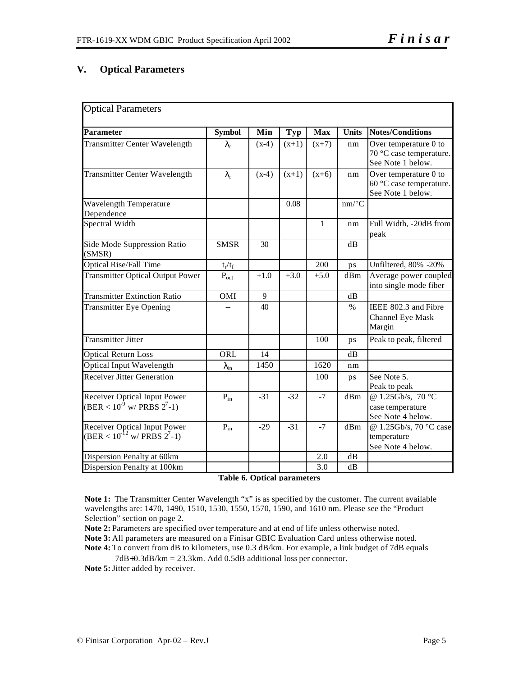## **V. Optical Parameters**

| <b>Optical Parameters</b>                                                  |                    |         |            |              |              |                                                                       |
|----------------------------------------------------------------------------|--------------------|---------|------------|--------------|--------------|-----------------------------------------------------------------------|
| <b>Parameter</b>                                                           | <b>Symbol</b>      | Min     | <b>Typ</b> | <b>Max</b>   | <b>Units</b> | <b>Notes/Conditions</b>                                               |
| <b>Transmitter Center Wavelength</b>                                       | $\lambda_{\rm c}$  | $(x-4)$ | $(x+1)$    | $(x+7)$      | nm           | Over temperature 0 to<br>70 °C case temperature.<br>See Note 1 below. |
| <b>Transmitter Center Wavelength</b>                                       | $\lambda_{\rm c}$  | $(x-4)$ | $(x+1)$    | $(x+6)$      | nm           | Over temperature 0 to<br>60 °C case temperature.<br>See Note 1 below. |
| Wavelength Temperature<br>Dependence                                       |                    |         | 0.08       |              | $nm$ /°C     |                                                                       |
| Spectral Width                                                             |                    |         |            | $\mathbf{1}$ | nm           | Full Width, -20dB from<br>peak                                        |
| Side Mode Suppression Ratio<br>(SMSR)                                      | <b>SMSR</b>        | 30      |            |              | dB           |                                                                       |
| <b>Optical Rise/Fall Time</b>                                              | $t_r/t_f$          |         |            | 200          | ps           | Unfiltered, 80% -20%                                                  |
| <b>Transmitter Optical Output Power</b>                                    | $P_{\text{out}}$   | $+1.0$  | $+3.0$     | $+5.0$       | dBm          | Average power coupled<br>into single mode fiber                       |
| <b>Transmitter Extinction Ratio</b>                                        | OMI                | 9       |            |              | dB           |                                                                       |
| <b>Transmitter Eye Opening</b>                                             |                    | 40      |            |              | $\%$         | IEEE 802.3 and Fibre<br>Channel Eye Mask<br>Margin                    |
| <b>Transmitter Jitter</b>                                                  |                    |         |            | 100          | ps           | Peak to peak, filtered                                                |
| <b>Optical Return Loss</b>                                                 | ORL                | 14      |            |              | dB           |                                                                       |
| <b>Optical Input Wavelength</b>                                            | $\lambda_{\rm in}$ | 1450    |            | 1620         | nm           |                                                                       |
| <b>Receiver Jitter Generation</b>                                          |                    |         |            | 100          | ps           | See Note 5.<br>Peak to peak                                           |
| Receiver Optical Input Power<br>$(BER < 10^{-9} \text{ w/ PRBS } 2^{7}-1)$ | $P_{in}$           | $-31$   | $-32$      | $-7$         | dBm          | @ 1.25Gb/s, 70 °C<br>case temperature<br>See Note 4 below.            |
| Receiver Optical Input Power<br>(BER < $10^{-12}$ w/ PRBS $2^7$ -1)        | $P_{in}$           | $-29$   | $-31$      | $-7$         | dBm          | @ 1.25Gb/s, 70 °C case<br>temperature<br>See Note 4 below.            |
| Dispersion Penalty at 60km                                                 |                    |         |            | 2.0          | dB           |                                                                       |
| Dispersion Penalty at 100km                                                |                    |         |            | 3.0          | dB           |                                                                       |

**Table 6. Optical parameters**

**Note 1:** The Transmitter Center Wavelength "x" is as specified by the customer. The current available wavelengths are: 1470, 1490, 1510, 1530, 1550, 1570, 1590, and 1610 nm. Please see the "Product Selection" section on page 2.

**Note 2:** Parameters are specified over temperature and at end of life unless otherwise noted. **Note 3:** All parameters are measured on a Finisar GBIC Evaluation Card unless otherwise noted. **Note 4:** To convert from dB to kilometers, use 0.3 dB/km. For example, a link budget of 7dB equals

7dB÷0.3dB/km = 23.3km. Add 0.5dB additional loss per connector.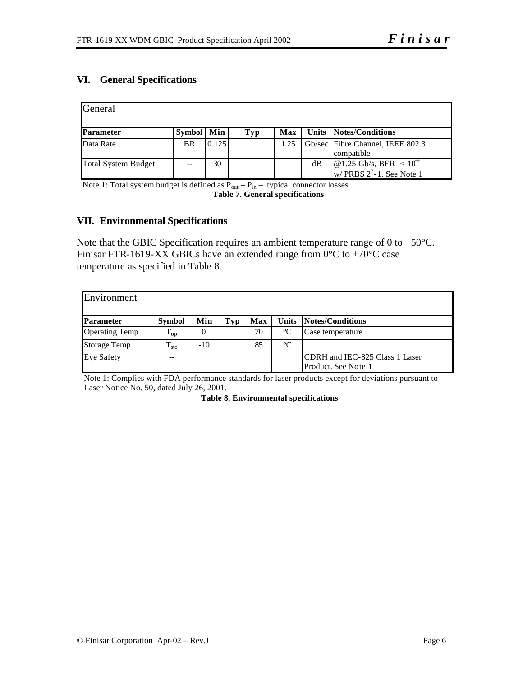## **VI. General Specifications**

| General                    |              |       |     |            |    |                                                           |
|----------------------------|--------------|-------|-----|------------|----|-----------------------------------------------------------|
| Parameter                  | Symbol   Min |       | Typ | <b>Max</b> |    | Units Notes/Conditions                                    |
| Data Rate                  | <b>BR</b>    | 0.125 |     | 1.25       |    | Gb/sec Fibre Channel, IEEE 802.3                          |
|                            |              |       |     |            |    | compatible                                                |
| <b>Total System Budget</b> |              | 30    |     |            | dB | $\left  \right  \omega$ 1.25 Gb/s, BER < 10 <sup>-9</sup> |
|                            |              |       |     |            |    | w/ PRBS $2^7$ -1. See Note 1                              |

Note 1: Total system budget is defined as  $P_{out} - P_{in}$  – typical connector losses **Table 7. General specifications**

#### **VII. Environmental Specifications**

Note that the GBIC Specification requires an ambient temperature range of 0 to +50°C. Finisar FTR-1619-XX GBICs have an extended range from  $0^{\circ}$ C to +70°C case temperature as specified in Table 8.

| Environment           |               |          |     |     |                 |                                                       |
|-----------------------|---------------|----------|-----|-----|-----------------|-------------------------------------------------------|
| <b>Parameter</b>      | <b>Symbol</b> | Min      | Tvp | Max |                 | Units Notes/Conditions                                |
| <b>Operating Temp</b> | $T_{op}$      | $\theta$ |     | 70  | $^{\circ}C$     | Case temperature                                      |
| <b>Storage Temp</b>   | $T_{\rm sto}$ | $-10$    |     | 85  | $\rm ^{\circ}C$ |                                                       |
| <b>Eye Safety</b>     | --            |          |     |     |                 | CDRH and IEC-825 Class 1 Laser<br>Product. See Note 1 |

Note 1: Complies with FDA performance standards for laser products except for deviations pursuant to Laser Notice No. 50, dated July 26, 2001.

**Table 8. Environmental specifications**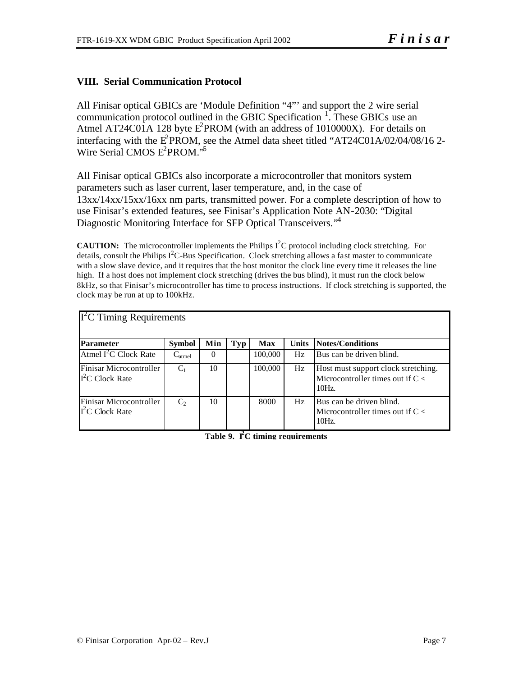## **VIII. Serial Communication Protocol**

All Finisar optical GBICs are 'Module Definition "4"' and support the 2 wire serial communication protocol outlined in the GBIC Specification  $\frac{1}{1}$ . These GBICs use an Atmel AT24C01A 128 byte  $E^2$ PROM (with an address of 1010000X). For details on interfacing with the  $E^2$ PROM, see the Atmel data sheet titled "AT24C01A/02/04/08/16 2-Wire Serial CMOS E<sup>2</sup>PROM.'<sup>5</sup>

All Finisar optical GBICs also incorporate a microcontroller that monitors system parameters such as laser current, laser temperature, and, in the case of 13xx/14xx/15xx/16xx nm parts, transmitted power. For a complete description of how to use Finisar's extended features, see Finisar's Application Note AN-2030: "Digital Diagnostic Monitoring Interface for SFP Optical Transceivers.<sup>"4</sup>

**CAUTION:** The microcontroller implements the Philips  $I^2C$  protocol including clock stretching. For details, consult the Philips  $I^2C$ -Bus Specification. Clock stretching allows a fast master to communicate with a slow slave device, and it requires that the host monitor the clock line every time it releases the line high. If a host does not implement clock stretching (drives the bus blind), it must run the clock below 8kHz, so that Finisar's microcontroller has time to process instructions. If clock stretching is supported, the clock may be run at up to 100kHz.

| $I2C$ Timing Requirements                   |               |     |     |            |              |                                                                                                    |
|---------------------------------------------|---------------|-----|-----|------------|--------------|----------------------------------------------------------------------------------------------------|
| <b>Parameter</b>                            | <b>Symbol</b> | Min | Typ | <b>Max</b> | <b>Units</b> | Notes/Conditions                                                                                   |
| Atmel $I^2C$ Clock Rate                     | $C_{atmel}$   | 0   |     | 100,000    | Hz           | Bus can be driven blind.                                                                           |
| Finisar Microcontroller<br>$I2C$ Clock Rate | $C_1$         | 10  |     | 100,000    | Hz           | Host must support clock stretching.<br>Microcontroller times out if $C \lt \mathbb{R}$<br>$10Hz$ . |
| Finisar Microcontroller<br>$I2C$ Clock Rate | $C_2$         | 10  |     | 8000       | Hz           | Bus can be driven blind.<br>Microcontroller times out if $C \lt \mathbb{R}$<br>$10Hz$ .            |

**Table 9. I<sup>2</sup>C timing requirements**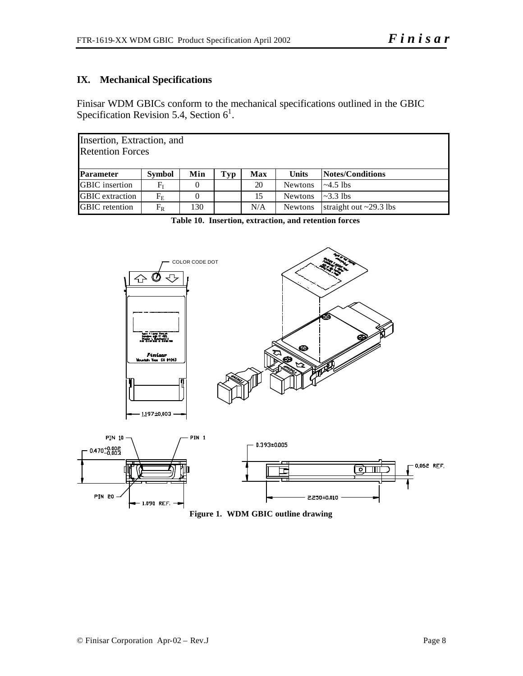## **IX. Mechanical Specifications**

Finisar WDM GBICs conform to the mechanical specifications outlined in the GBIC Specification Revision 5.4, Section  $6<sup>1</sup>$ .

|                        | Insertion, Extraction, and<br><b>Retention Forces</b>                                |     |  |     |                |                              |  |  |  |  |  |  |
|------------------------|--------------------------------------------------------------------------------------|-----|--|-----|----------------|------------------------------|--|--|--|--|--|--|
| <b>Parameter</b>       | <b>Notes/Conditions</b><br>Min<br>Tvp<br><b>Units</b><br><b>Symbol</b><br><b>Max</b> |     |  |     |                |                              |  |  |  |  |  |  |
| <b>GBIC</b> insertion  | F <sub>t</sub>                                                                       |     |  | 20  | <b>Newtons</b> | $\sim 4.5$ lbs               |  |  |  |  |  |  |
| <b>GBIC</b> extraction | $F_{\rm E}$                                                                          |     |  | 15  | <b>Newtons</b> | $\sim$ 3.3 lbs               |  |  |  |  |  |  |
| <b>GBIC</b> retention  | $F_{R}$                                                                              | 130 |  | N/A | <b>Newtons</b> | straight out $\sim$ 29.3 lbs |  |  |  |  |  |  |

**Table 10. Insertion, extraction, and retention forces**